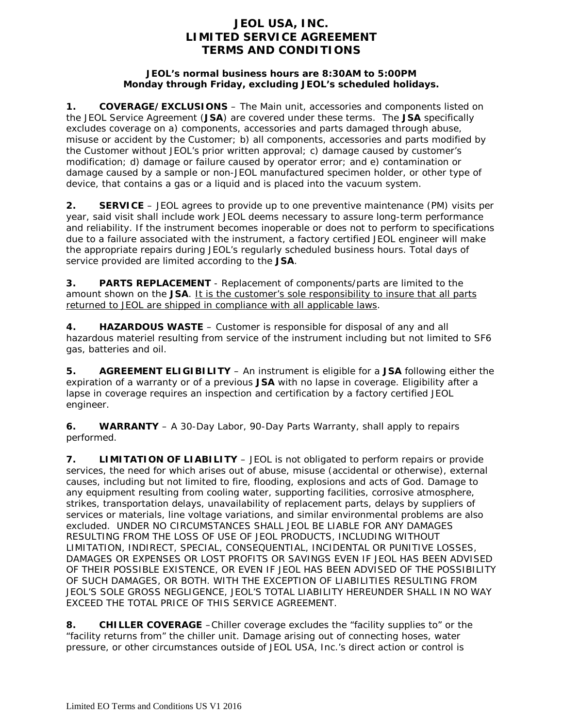## **JEOL USA, INC. LIMITED SERVICE AGREEMENT TERMS AND CONDITIONS**

## **JEOL's normal business hours are 8:30AM to 5:00PM Monday through Friday, excluding JEOL's scheduled holidays.**

**1. COVERAGE/EXCLUSIONS** – The Main unit, accessories and components listed on the JEOL Service Agreement (**JSA**) are covered under these terms. The **JSA** specifically excludes coverage on a) components, accessories and parts damaged through abuse, misuse or accident by the Customer; b) all components, accessories and parts modified by the Customer without JEOL's prior written approval; c) damage caused by customer's modification; d) damage or failure caused by operator error; and e) contamination or damage caused by a sample or non-JEOL manufactured specimen holder, or other type of device, that contains a gas or a liquid and is placed into the vacuum system.

**2. SERVICE** – JEOL agrees to provide up to one preventive maintenance (PM) visits per year, said visit shall include work JEOL deems necessary to assure long-term performance and reliability. If the instrument becomes inoperable or does not to perform to specifications due to a failure associated with the instrument, a factory certified JEOL engineer will make the appropriate repairs during JEOL's regularly scheduled business hours. Total days of service provided are limited according to the **JSA**.

**3. PARTS REPLACEMENT** - Replacement of components/parts are limited to the amount shown on the **JSA**. It is the customer's sole responsibility to insure that all parts returned to JEOL are shipped in compliance with all applicable laws.

**4. HAZARDOUS WASTE** – Customer is responsible for disposal of any and all hazardous materiel resulting from service of the instrument including but not limited to SF6 gas, batteries and oil.

**5. AGREEMENT ELIGIBILITY** – An instrument is eligible for a **JSA** following either the expiration of a warranty or of a previous **JSA** with no lapse in coverage. Eligibility after a lapse in coverage requires an inspection and certification by a factory certified JEOL engineer.

**6. WARRANTY** – A 30-Day Labor, 90-Day Parts Warranty, shall apply to repairs performed.

**7. LIMITATION OF LIABILITY** – JEOL is not obligated to perform repairs or provide services, the need for which arises out of abuse, misuse (accidental or otherwise), external causes, including but not limited to fire, flooding, explosions and acts of God. Damage to any equipment resulting from cooling water, supporting facilities, corrosive atmosphere, strikes, transportation delays, unavailability of replacement parts, delays by suppliers of services or materials, line voltage variations, and similar environmental problems are also excluded. UNDER NO CIRCUMSTANCES SHALL JEOL BE LIABLE FOR ANY DAMAGES RESULTING FROM THE LOSS OF USE OF JEOL PRODUCTS, INCLUDING WITHOUT LIMITATION, INDIRECT, SPECIAL, CONSEQUENTIAL, INCIDENTAL OR PUNITIVE LOSSES, DAMAGES OR EXPENSES OR LOST PROFITS OR SAVINGS EVEN IF JEOL HAS BEEN ADVISED OF THEIR POSSIBLE EXISTENCE, OR EVEN IF JEOL HAS BEEN ADVISED OF THE POSSIBILITY OF SUCH DAMAGES, OR BOTH. WITH THE EXCEPTION OF LIABILITIES RESULTING FROM JEOL'S SOLE GROSS NEGLIGENCE, JEOL'S TOTAL LIABILITY HEREUNDER SHALL IN NO WAY EXCEED THE TOTAL PRICE OF THIS SERVICE AGREEMENT.

**8. CHILLER COVERAGE** –Chiller coverage excludes the "facility supplies to" or the "facility returns from" the chiller unit. Damage arising out of connecting hoses, water pressure, or other circumstances outside of JEOL USA, Inc.'s direct action or control is